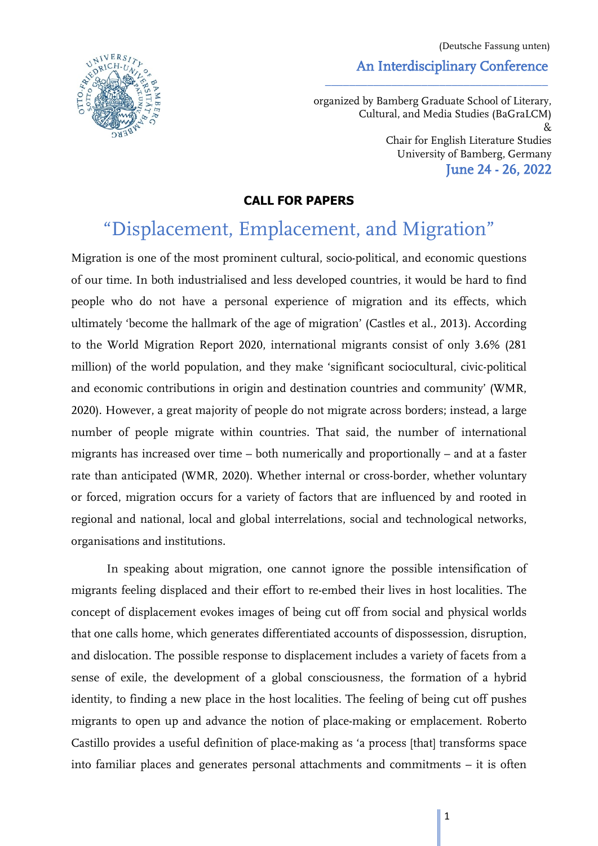An Interdisciplinary Conference (Deutsche Fassung unten)



organized by Bamberg Graduate School of Literary, Cultural, and Media Studies (BaGraLCM) & Chair for English Literature Studies University of Bamberg, Germany June 24 - 26, 2022

\_\_\_\_\_\_\_\_\_\_\_\_\_\_\_\_\_\_\_\_\_\_\_\_\_\_\_\_\_\_\_\_\_\_\_\_\_

## **CALL FOR PAPERS**

# "Displacement, Emplacement, and Migration"

Migration is one of the most prominent cultural, socio-political, and economic questions of our time. In both industrialised and less developed countries, it would be hard to find people who do not have a personal experience of migration and its effects, which ultimately 'become the hallmark of the age of migration' (Castles et al., 2013). According to the World Migration Report 2020, international migrants consist of only 3.6% (281 million) of the world population, and they make 'significant sociocultural, civic-political and economic contributions in origin and destination countries and community' (WMR, 2020). However, a great majority of people do not migrate across borders; instead, a large number of people migrate within countries. That said, the number of international migrants has increased over time – both numerically and proportionally – and at a faster rate than anticipated (WMR, 2020). Whether internal or cross-border, whether voluntary or forced, migration occurs for a variety of factors that are influenced by and rooted in regional and national, local and global interrelations, social and technological networks, organisations and institutions.

In speaking about migration, one cannot ignore the possible intensification of migrants feeling displaced and their effort to re-embed their lives in host localities. The concept of displacement evokes images of being cut off from social and physical worlds that one calls home, which generates differentiated accounts of dispossession, disruption, and dislocation. The possible response to displacement includes a variety of facets from a sense of exile, the development of a global consciousness, the formation of a hybrid identity, to finding a new place in the host localities. The feeling of being cut off pushes migrants to open up and advance the notion of place-making or emplacement. Roberto Castillo provides a useful definition of place-making as 'a process [that] transforms space into familiar places and generates personal attachments and commitments – it is often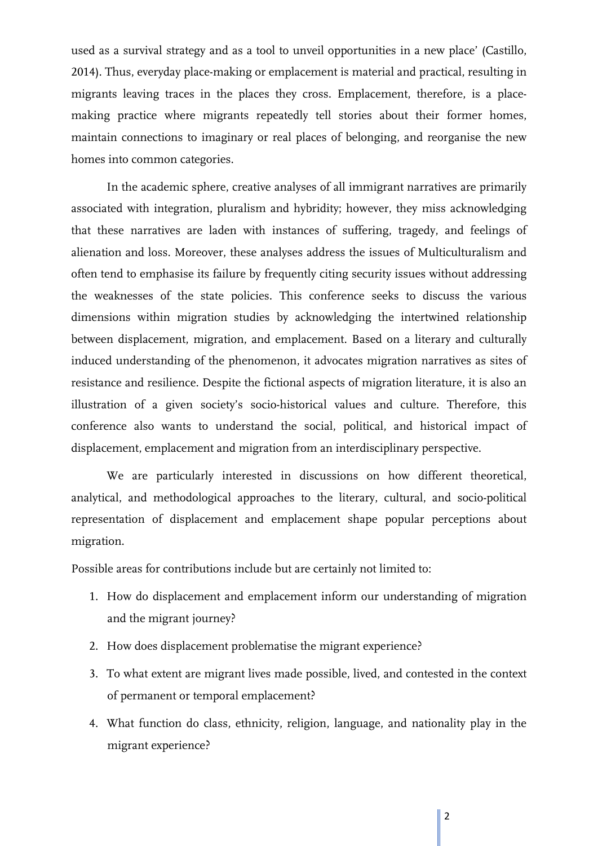used as a survival strategy and as a tool to unveil opportunities in a new place' (Castillo, 2014). Thus, everyday place-making or emplacement is material and practical, resulting in migrants leaving traces in the places they cross. Emplacement, therefore, is a placemaking practice where migrants repeatedly tell stories about their former homes, maintain connections to imaginary or real places of belonging, and reorganise the new homes into common categories.

In the academic sphere, creative analyses of all immigrant narratives are primarily associated with integration, pluralism and hybridity; however, they miss acknowledging that these narratives are laden with instances of suffering, tragedy, and feelings of alienation and loss. Moreover, these analyses address the issues of Multiculturalism and often tend to emphasise its failure by frequently citing security issues without addressing the weaknesses of the state policies. This conference seeks to discuss the various dimensions within migration studies by acknowledging the intertwined relationship between displacement, migration, and emplacement. Based on a literary and culturally induced understanding of the phenomenon, it advocates migration narratives as sites of resistance and resilience. Despite the fictional aspects of migration literature, it is also an illustration of a given society's socio-historical values and culture. Therefore, this conference also wants to understand the social, political, and historical impact of displacement, emplacement and migration from an interdisciplinary perspective.

We are particularly interested in discussions on how different theoretical, analytical, and methodological approaches to the literary, cultural, and socio-political representation of displacement and emplacement shape popular perceptions about migration.

Possible areas for contributions include but are certainly not limited to:

- 1. How do displacement and emplacement inform our understanding of migration and the migrant journey?
- 2. How does displacement problematise the migrant experience?
- 3. To what extent are migrant lives made possible, lived, and contested in the context of permanent or temporal emplacement?
- 4. What function do class, ethnicity, religion, language, and nationality play in the migrant experience?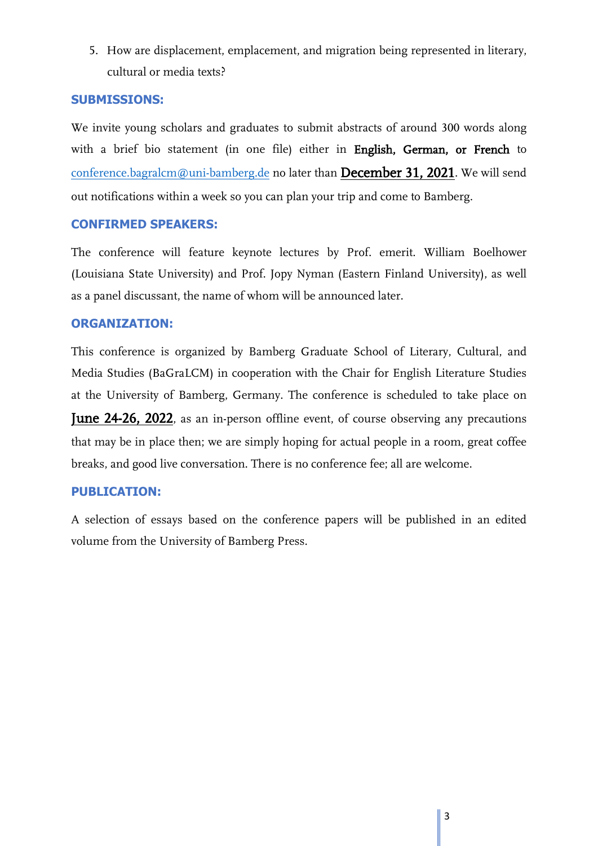5. How are displacement, emplacement, and migration being represented in literary, cultural or media texts?

## **SUBMISSIONS:**

We invite young scholars and graduates to submit abstracts of around 300 words along with a brief bio statement (in one file) either in English, German, or French to [conference.bagralcm@uni-bamberg.de](mailto:conference.bagralcm@uni-bamberg.de) no later than December 31, 2021. We will send out notifications within a week so you can plan your trip and come to Bamberg.

### **CONFIRMED SPEAKERS:**

The conference will feature keynote lectures by Prof. emerit. William Boelhower (Louisiana State University) and Prof. Jopy Nyman (Eastern Finland University), as well as a panel discussant, the name of whom will be announced later.

## **ORGANIZATION:**

This conference is organized by Bamberg Graduate School of Literary, Cultural, and Media Studies (BaGraLCM) in cooperation with the Chair for English Literature Studies at the University of Bamberg, Germany. The conference is scheduled to take place on June 24-26, 2022, as an in-person offline event, of course observing any precautions that may be in place then; we are simply hoping for actual people in a room, great coffee breaks, and good live conversation. There is no conference fee; all are welcome.

# **PUBLICATION:**

A selection of essays based on the conference papers will be published in an edited volume from the University of Bamberg Press.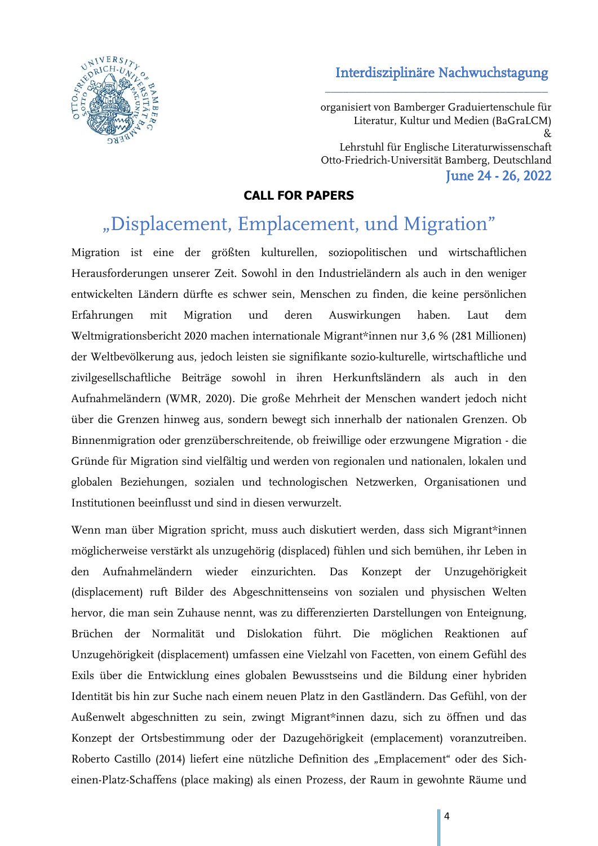# Interdisziplinäre Nachwuchstagung

\_\_\_\_\_\_\_\_\_\_\_\_\_\_\_\_\_\_\_\_\_\_\_\_\_\_\_\_\_\_\_\_\_\_\_\_\_



organisiert von Bamberger Graduiertenschule für Literatur, Kultur und Medien (BaGraLCM) & Lehrstuhl für Englische Literaturwissenschaft Otto-Friedrich-Universität Bamberg, Deutschland June 24 - 26, 2022

# **CALL FOR PAPERS**

# "Displacement, Emplacement, und Migration"

Migration ist eine der größten kulturellen, soziopolitischen und wirtschaftlichen Herausforderungen unserer Zeit. Sowohl in den Industrieländern als auch in den weniger entwickelten Ländern dürfte es schwer sein, Menschen zu finden, die keine persönlichen Erfahrungen mit Migration und deren Auswirkungen haben. Laut dem Weltmigrationsbericht 2020 machen internationale Migrant\*innen nur 3,6 % (281 Millionen) der Weltbevölkerung aus, jedoch leisten sie signifikante sozio-kulturelle, wirtschaftliche und zivilgesellschaftliche Beiträge sowohl in ihren Herkunftsländern als auch in den Aufnahmeländern (WMR, 2020). Die große Mehrheit der Menschen wandert jedoch nicht über die Grenzen hinweg aus, sondern bewegt sich innerhalb der nationalen Grenzen. Ob Binnenmigration oder grenzüberschreitende, ob freiwillige oder erzwungene Migration - die Gründe für Migration sind vielfältig und werden von regionalen und nationalen, lokalen und globalen Beziehungen, sozialen und technologischen Netzwerken, Organisationen und Institutionen beeinflusst und sind in diesen verwurzelt.

Wenn man über Migration spricht, muss auch diskutiert werden, dass sich Migrant\*innen möglicherweise verstärkt als unzugehörig (displaced) fühlen und sich bemühen, ihr Leben in den Aufnahmeländern wieder einzurichten. Das Konzept der Unzugehörigkeit (displacement) ruft Bilder des Abgeschnittenseins von sozialen und physischen Welten hervor, die man sein Zuhause nennt, was zu differenzierten Darstellungen von Enteignung, Brüchen der Normalität und Dislokation führt. Die möglichen Reaktionen auf Unzugehörigkeit (displacement) umfassen eine Vielzahl von Facetten, von einem Gefühl des Exils über die Entwicklung eines globalen Bewusstseins und die Bildung einer hybriden Identität bis hin zur Suche nach einem neuen Platz in den Gastländern. Das Gefühl, von der Außenwelt abgeschnitten zu sein, zwingt Migrant\*innen dazu, sich zu öffnen und das Konzept der Ortsbestimmung oder der Dazugehörigkeit (emplacement) voranzutreiben. Roberto Castillo (2014) liefert eine nützliche Definition des "Emplacement" oder des Sicheinen-Platz-Schaffens (place making) als einen Prozess, der Raum in gewohnte Räume und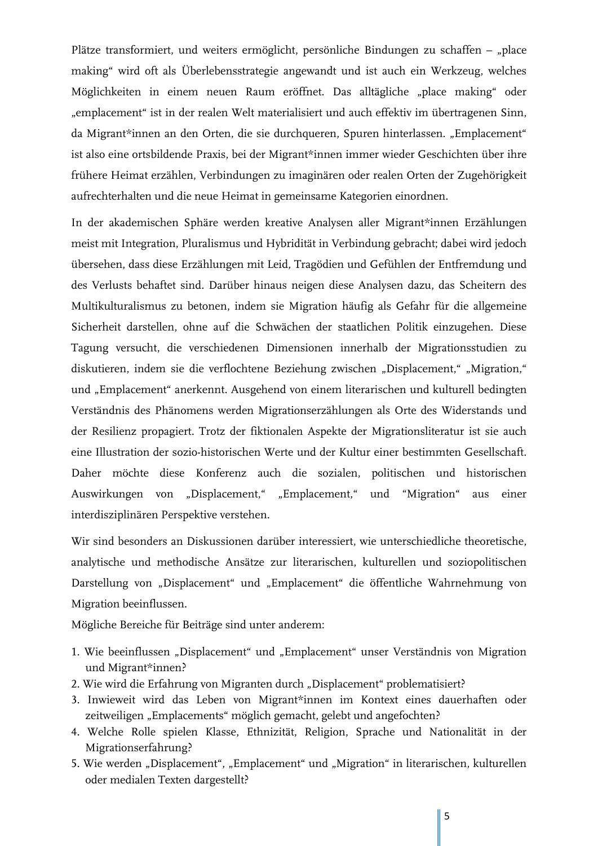Plätze transformiert, und weiters ermöglicht, persönliche Bindungen zu schaffen – "place making" wird oft als Überlebensstrategie angewandt und ist auch ein Werkzeug, welches Möglichkeiten in einem neuen Raum eröffnet. Das alltägliche "place making" oder "emplacement" ist in der realen Welt materialisiert und auch effektiv im übertragenen Sinn, da Migrant\*innen an den Orten, die sie durchqueren, Spuren hinterlassen. "Emplacement" ist also eine ortsbildende Praxis, bei der Migrant\*innen immer wieder Geschichten über ihre frühere Heimat erzählen, Verbindungen zu imaginären oder realen Orten der Zugehörigkeit aufrechterhalten und die neue Heimat in gemeinsame Kategorien einordnen.

In der akademischen Sphäre werden kreative Analysen aller Migrant\*innen Erzählungen meist mit Integration, Pluralismus und Hybridität in Verbindung gebracht; dabei wird jedoch übersehen, dass diese Erzählungen mit Leid, Tragödien und Gefühlen der Entfremdung und des Verlusts behaftet sind. Darüber hinaus neigen diese Analysen dazu, das Scheitern des Multikulturalismus zu betonen, indem sie Migration häufig als Gefahr für die allgemeine Sicherheit darstellen, ohne auf die Schwächen der staatlichen Politik einzugehen. Diese Tagung versucht, die verschiedenen Dimensionen innerhalb der Migrationsstudien zu diskutieren, indem sie die verflochtene Beziehung zwischen "Displacement," "Migration," und "Emplacement" anerkennt. Ausgehend von einem literarischen und kulturell bedingten Verständnis des Phänomens werden Migrationserzählungen als Orte des Widerstands und der Resilienz propagiert. Trotz der fiktionalen Aspekte der Migrationsliteratur ist sie auch eine Illustration der sozio-historischen Werte und der Kultur einer bestimmten Gesellschaft. Daher möchte diese Konferenz auch die sozialen, politischen und historischen Auswirkungen von "Displacement," "Emplacement," und "Migration" aus einer interdisziplinären Perspektive verstehen.

Wir sind besonders an Diskussionen darüber interessiert, wie unterschiedliche theoretische, analytische und methodische Ansätze zur literarischen, kulturellen und soziopolitischen Darstellung von "Displacement" und "Emplacement" die öffentliche Wahrnehmung von Migration beeinflussen.

Mögliche Bereiche für Beiträge sind unter anderem:

- 1. Wie beeinflussen "Displacement" und "Emplacement" unser Verständnis von Migration und Migrant\*innen?
- 2. Wie wird die Erfahrung von Migranten durch "Displacement" problematisiert?
- 3. Inwieweit wird das Leben von Migrant\*innen im Kontext eines dauerhaften oder zeitweiligen "Emplacements" möglich gemacht, gelebt und angefochten?
- 4. Welche Rolle spielen Klasse, Ethnizität, Religion, Sprache und Nationalität in der Migrationserfahrung?
- 5. Wie werden "Displacement", "Emplacement" und "Migration" in literarischen, kulturellen oder medialen Texten dargestellt?